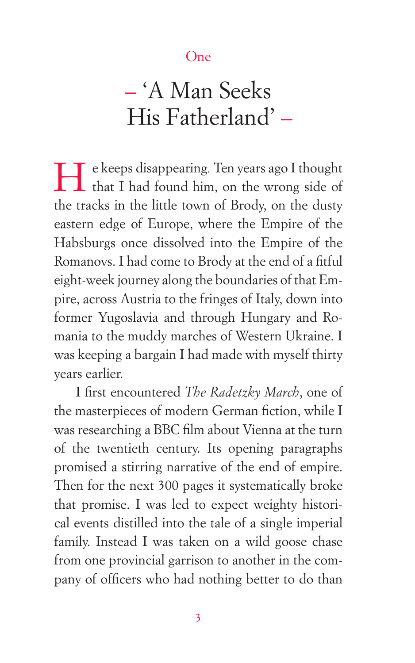## One

## – 'A Man Seeks His Fatherland' –

H e keeps disappearing*.* Ten years ago I thought that I had found him, on the wrong side of the tracks in the little town of Brody, on the dusty eastern edge of Europe, where the Empire of the Habsburgs once dissolved into the Empire of the Romanovs. I had come to Brody at the end of a fitful eight-week journey along the boundaries of that Empire, across Austria to the fringes of Italy, down into former Yugoslavia and through Hungary and Romania to the muddy marches of Western Ukraine. I was keeping a bargain I had made with myself thirty years earlier.

I first encountered *The Radetzky March*, one of the masterpieces of modern German fiction, while I was researching a BBC film about Vienna at the turn of the twentieth century. Its opening paragraphs promised a stirring narrative of the end of empire. Then for the next 300 pages it systematically broke that promise. I was led to expect weighty historical events distilled into the tale of a single imperial family. Instead I was taken on a wild goose chase from one provincial garrison to another in the company of officers who had nothing better to do than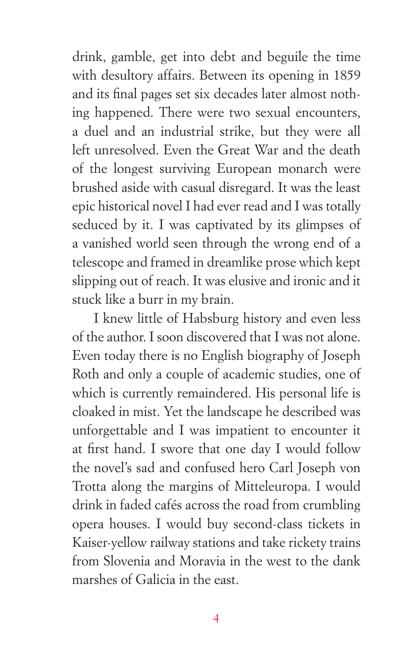drink, gamble, get into debt and beguile the time with desultory affairs. Between its opening in 1859 and its final pages set six decades later almost nothing happened. There were two sexual encounters, a duel and an industrial strike, but they were all left unresolved. Even the Great War and the death of the longest surviving European monarch were brushed aside with casual disregard. It was the least epic historical novel I had ever read and I was totally seduced by it. I was captivated by its glimpses of a vanished world seen through the wrong end of a telescope and framed in dreamlike prose which kept slipping out of reach. It was elusive and ironic and it stuck like a burr in my brain.

I knew little of Habsburg history and even less of the author. I soon discovered that I was not alone. Even today there is no English biography of Joseph Roth and only a couple of academic studies, one of which is currently remaindered. His personal life is cloaked in mist. Yet the landscape he described was unforgettable and I was impatient to encounter it at first hand. I swore that one day I would follow the novel's sad and confused hero Carl Joseph von Trotta along the margins of Mitteleuropa. I would drink in faded cafés across the road from crumbling opera houses. I would buy second-class tickets in Kaiser-yellow railway stations and take rickety trains from Slovenia and Moravia in the west to the dank marshes of Galicia in the east.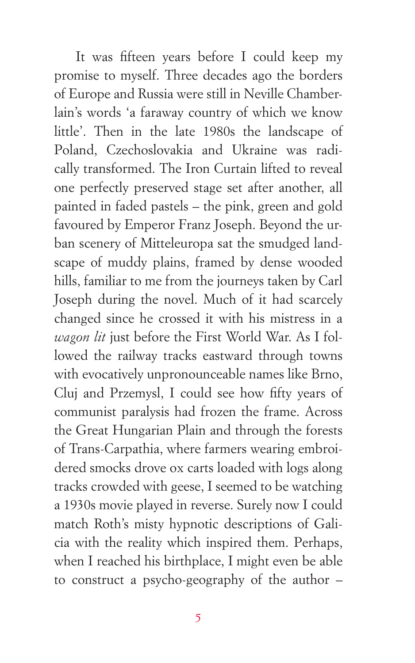It was fifteen years before I could keep my promise to myself. Three decades ago the borders of Europe and Russia were still in Neville Chamberlain's words 'a faraway country of which we know little'. Then in the late 1980s the landscape of Poland, Czechoslovakia and Ukraine was radically transformed. The Iron Curtain lifted to reveal one perfectly preserved stage set after another, all painted in faded pastels – the pink, green and gold favoured by Emperor Franz Joseph. Beyond the urban scenery of Mitteleuropa sat the smudged landscape of muddy plains, framed by dense wooded hills, familiar to me from the journeys taken by Carl Joseph during the novel. Much of it had scarcely changed since he crossed it with his mistress in a *wagon lit* just before the First World War. As I followed the railway tracks eastward through towns with evocatively unpronounceable names like Brno, Cluj and Przemysl, I could see how fifty years of communist paralysis had frozen the frame. Across the Great Hungarian Plain and through the forests of Trans-Carpathia, where farmers wearing embroidered smocks drove ox carts loaded with logs along tracks crowded with geese, I seemed to be watching a 1930s movie played in reverse. Surely now I could match Roth's misty hypnotic descriptions of Galicia with the reality which inspired them. Perhaps, when I reached his birthplace, I might even be able to construct a psycho-geography of the author –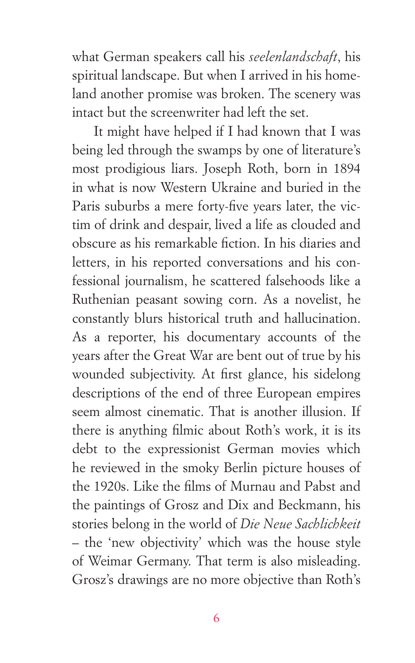what German speakers call his *seelenlandschaft*, his spiritual landscape. But when I arrived in his homeland another promise was broken. The scenery was intact but the screenwriter had left the set.

It might have helped if I had known that I was being led through the swamps by one of literature's most prodigious liars. Joseph Roth, born in 1894 in what is now Western Ukraine and buried in the Paris suburbs a mere forty-five years later, the victim of drink and despair, lived a life as clouded and obscure as his remarkable fiction. In his diaries and letters, in his reported conversations and his confessional journalism, he scattered falsehoods like a Ruthenian peasant sowing corn. As a novelist, he constantly blurs historical truth and hallucination. As a reporter, his documentary accounts of the years after the Great War are bent out of true by his wounded subjectivity. At first glance, his sidelong descriptions of the end of three European empires seem almost cinematic. That is another illusion. If there is anything filmic about Roth's work, it is its debt to the expressionist German movies which he reviewed in the smoky Berlin picture houses of the 1920s. Like the films of Murnau and Pabst and the paintings of Grosz and Dix and Beckmann, his stories belong in the world of *Die Neue Sachlichkeit* – the 'new objectivity' which was the house style of Weimar Germany. That term is also misleading. Grosz's drawings are no more objective than Roth's